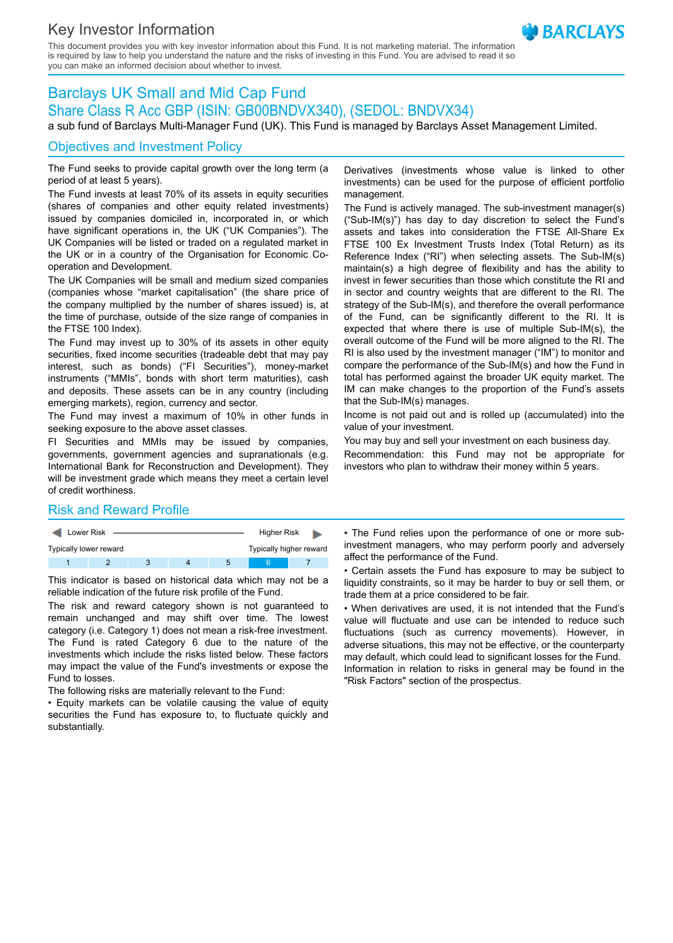# Key Investor Information

This document provides you with key investor information about this Fund. It is not marketing material. The information is required by law to help you understand the nature and the risks of investing in this Fund. You are advised to read it so you can make an informed decision about whether to invest.

# Barclays UK Small and Mid Cap Fund Share Class R Acc GBP (ISIN: GB00BNDVX340), (SEDOL: BNDVX34)

a sub fund of Barclays Multi-Manager Fund (UK). This Fund is managed by Barclays Asset Management Limited.

# Objectives and Investment Policy

The Fund seeks to provide capital growth over the long term (a period of at least 5 years).

The Fund invests at least 70% of its assets in equity securities (shares of companies and other equity related investments) issued by companies domiciled in, incorporated in, or which have significant operations in, the UK ("UK Companies"). The UK Companies will be listed or traded on a regulated market in the UK or in a country of the Organisation for Economic Cooperation and Development.

The UK Companies will be small and medium sized companies (companies whose "market capitalisation" (the share price of the company multiplied by the number of shares issued) is, at the time of purchase, outside of the size range of companies in the FTSE 100 Index).

The Fund may invest up to 30% of its assets in other equity securities, fixed income securities (tradeable debt that may pay interest, such as bonds) ("FI Securities"), money-market instruments ("MMIs", bonds with short term maturities), cash and deposits. These assets can be in any country (including emerging markets), region, currency and sector.

The Fund may invest a maximum of 10% in other funds in seeking exposure to the above asset classes.

FI Securities and MMIs may be issued by companies, governments, government agencies and supranationals (e.g. International Bank for Reconstruction and Development). They will be investment grade which means they meet a certain level of credit worthiness.

Derivatives (investments whose value is linked to other investments) can be used for the purpose of efficient portfolio management.

**BARCIAYS** 

The Fund is actively managed. The sub-investment manager(s) ("Sub-IM(s)") has day to day discretion to select the Fund's assets and takes into consideration the FTSE All-Share Ex FTSE 100 Ex Investment Trusts Index (Total Return) as its Reference Index ("RI") when selecting assets. The Sub-IM(s) maintain(s) a high degree of flexibility and has the ability to invest in fewer securities than those which constitute the RI and in sector and country weights that are different to the RI. The strategy of the Sub-IM(s), and therefore the overall performance of the Fund, can be significantly different to the RI. It is expected that where there is use of multiple Sub-IM(s), the overall outcome of the Fund will be more aligned to the RI. The RI is also used by the investment manager ("IM") to monitor and compare the performance of the Sub-IM(s) and how the Fund in total has performed against the broader UK equity market. The IM can make changes to the proportion of the Fund's assets that the Sub-IM(s) manages.

Income is not paid out and is rolled up (accumulated) into the value of your investment.

You may buy and sell your investment on each business day. Recommendation: this Fund may not be appropriate for investors who plan to withdraw their money within 5 years.

#### Risk and Reward Profile

| Lower Risk             |  | Higher Risk             |  |   |  |  |
|------------------------|--|-------------------------|--|---|--|--|
| Typically lower reward |  | Typically higher reward |  |   |  |  |
|                        |  |                         |  | b |  |  |

This indicator is based on historical data which may not be a reliable indication of the future risk profile of the Fund.

The risk and reward category shown is not guaranteed to remain unchanged and may shift over time. The lowest category (i.e. Category 1) does not mean a risk-free investment. The Fund is rated Category 6 due to the nature of the investments which include the risks listed below. These factors may impact the value of the Fund's investments or expose the Fund to losses.

The following risks are materially relevant to the Fund:

• Equity markets can be volatile causing the value of equity securities the Fund has exposure to, to fluctuate quickly and substantially.

• The Fund relies upon the performance of one or more subinvestment managers, who may perform poorly and adversely affect the performance of the Fund.

• Certain assets the Fund has exposure to may be subject to liquidity constraints, so it may be harder to buy or sell them, or trade them at a price considered to be fair.

• When derivatives are used, it is not intended that the Fund's value will fluctuate and use can be intended to reduce such fluctuations (such as currency movements). However, in adverse situations, this may not be effective, or the counterparty may default, which could lead to significant losses for the Fund. Information in relation to risks in general may be found in the "Risk Factors" section of the prospectus.